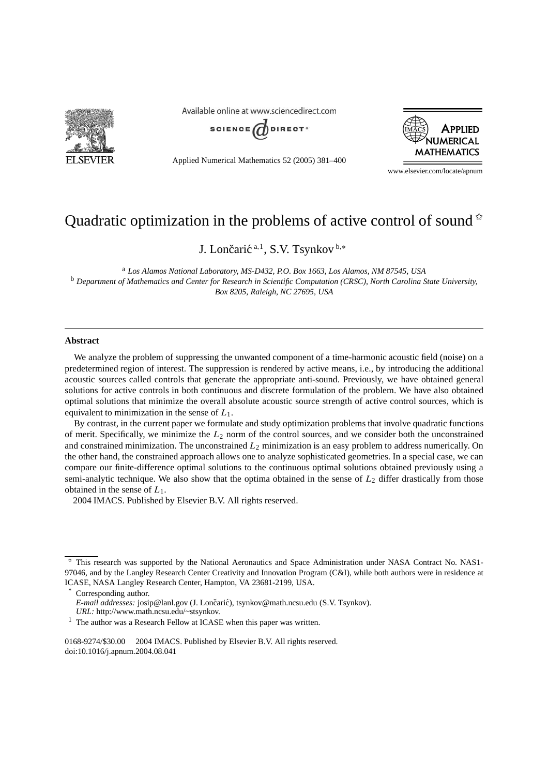

Available online at www.sciencedirect.com



Applied Numerical Mathematics 52 (2005) 381–400



www.elsevier.com/locate/apnum

# Quadratic optimization in the problems of active control of sound  $\dot{\alpha}$

J. Lončarić<sup>a,1</sup>, S.V. Tsynkov<sup>b,\*</sup>

<sup>a</sup> *Los Alamos National Laboratory, MS-D432, P.O. Box 1663, Los Alamos, NM 87545, USA* <sup>b</sup> *Department of Mathematics and Center for Research in Scientific Computation (CRSC), North Carolina State University, Box 8205, Raleigh, NC 27695, USA*

#### **Abstract**

We analyze the problem of suppressing the unwanted component of a time-harmonic acoustic field (noise) on a predetermined region of interest. The suppression is rendered by active means, i.e., by introducing the additional acoustic sources called controls that generate the appropriate anti-sound. Previously, we have obtained general solutions for active controls in both continuous and discrete formulation of the problem. We have also obtained optimal solutions that minimize the overall absolute acoustic source strength of active control sources, which is equivalent to minimization in the sense of *L*1.

By contrast, in the current paper we formulate and study optimization problems that involve quadratic functions of merit. Specifically, we minimize the *L*<sup>2</sup> norm of the control sources, and we consider both the unconstrained and constrained minimization. The unconstrained *L*<sup>2</sup> minimization is an easy problem to address numerically. On the other hand, the constrained approach allows one to analyze sophisticated geometries. In a special case, we can compare our finite-difference optimal solutions to the continuous optimal solutions obtained previously using a semi-analytic technique. We also show that the optima obtained in the sense of *L*<sup>2</sup> differ drastically from those obtained in the sense of *L*1.

2004 IMACS. Published by Elsevier B.V. All rights reserved.

Corresponding author. E-mail addresses: josip@lanl.gov (J. Lončarić), tsynkov@math.ncsu.edu (S.V. Tsynkov). *URL:* http://www.math.ncsu.edu/~stsynkov.

0168-9274/\$30.00  $\odot$  2004 IMACS. Published by Elsevier B.V. All rights reserved. doi:10.1016/j.apnum.2004.08.041

<sup>✩</sup> This research was supported by the National Aeronautics and Space Administration under NASA Contract No. NAS1- 97046, and by the Langley Research Center Creativity and Innovation Program (C&I), while both authors were in residence at ICASE, NASA Langley Research Center, Hampton, VA 23681-2199, USA.

<sup>&</sup>lt;sup>1</sup> The author was a Research Fellow at ICASE when this paper was written.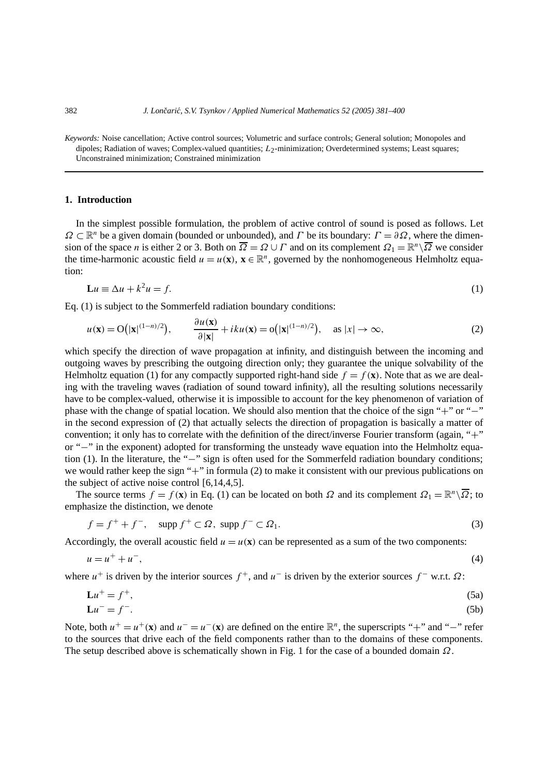*Keywords:* Noise cancellation; Active control sources; Volumetric and surface controls; General solution; Monopoles and dipoles; Radiation of waves; Complex-valued quantities; *L*<sub>2</sub>-minimization; Overdetermined systems; Least squares; Unconstrained minimization; Constrained minimization

# **1. Introduction**

In the simplest possible formulation, the problem of active control of sound is posed as follows. Let *Ω* ⊂  $\mathbb{R}^n$  be a given domain (bounded or unbounded), and *Γ* be its boundary:  $\Gamma = \partial \Omega$ , where the dimension of the space *n* is either 2 or 3. Both on  $\overline{\Omega} = \Omega \cup \Gamma$  and on its complement  $\Omega_1 = \mathbb{R}^n \setminus \overline{\Omega}$  we consider the time-harmonic acoustic field  $u = u(\mathbf{x})$ ,  $\mathbf{x} \in \mathbb{R}^n$ , governed by the nonhomogeneous Helmholtz equation:

$$
\mathbf{L}u \equiv \Delta u + k^2 u = f. \tag{1}
$$

Eq. (1) is subject to the Sommerfeld radiation boundary conditions:

$$
u(\mathbf{x}) = \mathcal{O}\big(|\mathbf{x}|^{(1-n)/2}\big), \qquad \frac{\partial u(\mathbf{x})}{\partial |\mathbf{x}|} + iku(\mathbf{x}) = \mathcal{O}\big(|\mathbf{x}|^{(1-n)/2}\big), \quad \text{as } |x| \to \infty,
$$
 (2)

which specify the direction of wave propagation at infinity, and distinguish between the incoming and outgoing waves by prescribing the outgoing direction only; they guarantee the unique solvability of the Helmholtz equation (1) for any compactly supported right-hand side  $f = f(\mathbf{x})$ . Note that as we are dealing with the traveling waves (radiation of sound toward infinity), all the resulting solutions necessarily have to be complex-valued, otherwise it is impossible to account for the key phenomenon of variation of phase with the change of spatial location. We should also mention that the choice of the sign "+" or "−" in the second expression of (2) that actually selects the direction of propagation is basically a matter of convention; it only has to correlate with the definition of the direct/inverse Fourier transform (again, "+" or "−" in the exponent) adopted for transforming the unsteady wave equation into the Helmholtz equation (1). In the literature, the "−" sign is often used for the Sommerfeld radiation boundary conditions; we would rather keep the sign "+" in formula (2) to make it consistent with our previous publications on the subject of active noise control [6,14,4,5].

The source terms  $f = f(\mathbf{x})$  in Eq. (1) can be located on both  $\Omega$  and its complement  $\Omega_1 = \mathbb{R}^n \setminus \overline{\Omega}$ ; to emphasize the distinction, we denote

$$
f = f^+ + f^-, \quad \text{supp } f^+ \subset \Omega, \text{ supp } f^- \subset \Omega_1. \tag{3}
$$

Accordingly, the overall acoustic field  $u = u(\mathbf{x})$  can be represented as a sum of the two components:

$$
u = u^+ + u^-, \tag{4}
$$

where  $u^+$  is driven by the interior sources  $f^+$ , and  $u^-$  is driven by the exterior sources  $f^-$  w.r.t.  $\Omega$ :

$$
\mathbf{L}u^+ = f^+, \tag{5a}
$$

$$
\mathbf{L}u^- = f^-. \tag{5b}
$$

Note, both  $u^+ = u^+({\bf x})$  and  $u^- = u^-({\bf x})$  are defined on the entire  $\mathbb{R}^n$ , the superscripts "+" and "−" refer to the sources that drive each of the field components rather than to the domains of these components. The setup described above is schematically shown in Fig. 1 for the case of a bounded domain *Ω*.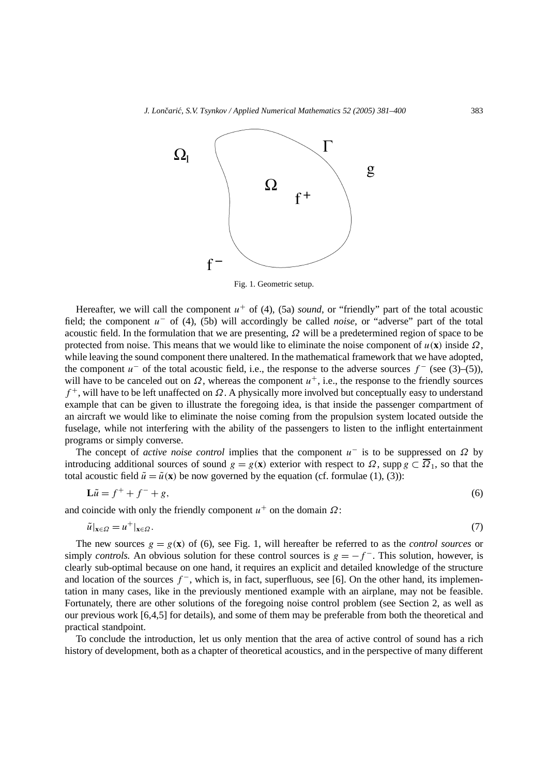

Fig. 1. Geometric setup.

Hereafter, we will call the component  $u^+$  of (4), (5a) *sound*, or "friendly" part of the total acoustic field; the component *u*<sup>−</sup> of (4), (5b) will accordingly be called *noise*, or "adverse" part of the total acoustic field. In the formulation that we are presenting, *Ω* will be a predetermined region of space to be protected from noise. This means that we would like to eliminate the noise component of  $u(\mathbf{x})$  inside  $\Omega$ , while leaving the sound component there unaltered. In the mathematical framework that we have adopted, the component  $u^-$  of the total acoustic field, i.e., the response to the adverse sources  $f^-$  (see (3)–(5)), will have to be canceled out on  $\Omega$ , whereas the component  $u^+$ , i.e., the response to the friendly sources *f* <sup>+</sup>, will have to be left unaffected on *Ω*. A physically more involved but conceptually easy to understand example that can be given to illustrate the foregoing idea, is that inside the passenger compartment of an aircraft we would like to eliminate the noise coming from the propulsion system located outside the fuselage, while not interfering with the ability of the passengers to listen to the inflight entertainment programs or simply converse.

The concept of *active noise control* implies that the component *u*<sup>−</sup> is to be suppressed on *Ω* by introducing additional sources of sound  $g = g(\mathbf{x})$  exterior with respect to  $\Omega$ , supp  $g \subset \overline{\Omega}_1$ , so that the total acoustic field  $\tilde{u} = \tilde{u}(\mathbf{x})$  be now governed by the equation (cf. formulae (1), (3)):

$$
\mathbf{L}\tilde{u} = f^+ + f^- + g,\tag{6}
$$

and coincide with only the friendly component  $u^+$  on the domain  $\Omega$ :

$$
\tilde{u}|_{\mathbf{x}\in\Omega} = u^+|_{\mathbf{x}\in\Omega}.\tag{7}
$$

The new sources  $g = g(\mathbf{x})$  of (6), see Fig. 1, will hereafter be referred to as the *control sources* or simply *controls*. An obvious solution for these control sources is  $g = -f^-$ . This solution, however, is clearly sub-optimal because on one hand, it requires an explicit and detailed knowledge of the structure and location of the sources *f* <sup>−</sup>, which is, in fact, superfluous, see [6]. On the other hand, its implementation in many cases, like in the previously mentioned example with an airplane, may not be feasible. Fortunately, there are other solutions of the foregoing noise control problem (see Section 2, as well as our previous work [6,4,5] for details), and some of them may be preferable from both the theoretical and practical standpoint.

To conclude the introduction, let us only mention that the area of active control of sound has a rich history of development, both as a chapter of theoretical acoustics, and in the perspective of many different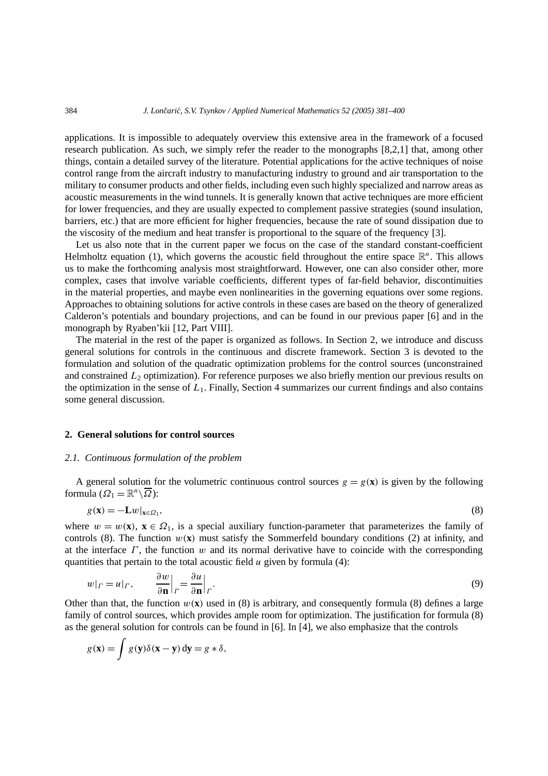applications. It is impossible to adequately overview this extensive area in the framework of a focused research publication. As such, we simply refer the reader to the monographs [8,2,1] that, among other things, contain a detailed survey of the literature. Potential applications for the active techniques of noise control range from the aircraft industry to manufacturing industry to ground and air transportation to the military to consumer products and other fields, including even such highly specialized and narrow areas as acoustic measurements in the wind tunnels. It is generally known that active techniques are more efficient for lower frequencies, and they are usually expected to complement passive strategies (sound insulation, barriers, etc.) that are more efficient for higher frequencies, because the rate of sound dissipation due to the viscosity of the medium and heat transfer is proportional to the square of the frequency [3].

Let us also note that in the current paper we focus on the case of the standard constant-coefficient Helmholtz equation (1), which governs the acoustic field throughout the entire space  $\mathbb{R}^n$ . This allows us to make the forthcoming analysis most straightforward. However, one can also consider other, more complex, cases that involve variable coefficients, different types of far-field behavior, discontinuities in the material properties, and maybe even nonlinearities in the governing equations over some regions. Approaches to obtaining solutions for active controls in these cases are based on the theory of generalized Calderon's potentials and boundary projections, and can be found in our previous paper [6] and in the monograph by Ryaben'kii [12, Part VIII].

The material in the rest of the paper is organized as follows. In Section 2, we introduce and discuss general solutions for controls in the continuous and discrete framework. Section 3 is devoted to the formulation and solution of the quadratic optimization problems for the control sources (unconstrained and constrained  $L_2$  optimization). For reference purposes we also briefly mention our previous results on the optimization in the sense of  $L_1$ . Finally, Section 4 summarizes our current findings and also contains some general discussion.

# **2. General solutions for control sources**

#### *2.1. Continuous formulation of the problem*

A general solution for the volumetric continuous control sources  $g = g(\mathbf{x})$  is given by the following formula  $(\Omega_1 = \mathbb{R}^n \setminus \overline{\Omega})$ :

$$
g(\mathbf{x}) = -\mathbf{L}w|_{\mathbf{x} \in \Omega_1},\tag{8}
$$

where  $w = w(\mathbf{x})$ ,  $\mathbf{x} \in \Omega_1$ , is a special auxiliary function-parameter that parameterizes the family of controls (8). The function  $w(\mathbf{x})$  must satisfy the Sommerfeld boundary conditions (2) at infinity, and at the interface *Γ* , the function *w* and its normal derivative have to coincide with the corresponding quantities that pertain to the total acoustic field  $u$  given by formula (4):

$$
w|_{\Gamma} = u|_{\Gamma}, \qquad \frac{\partial w}{\partial \mathbf{n}}|_{\Gamma} = \frac{\partial u}{\partial \mathbf{n}}|_{\Gamma}.
$$
\n(9)

Other than that, the function  $w(\mathbf{x})$  used in (8) is arbitrary, and consequently formula (8) defines a large family of control sources, which provides ample room for optimization. The justification for formula (8) as the general solution for controls can be found in [6]. In [4], we also emphasize that the controls

$$
g(\mathbf{x}) = \int g(\mathbf{y}) \delta(\mathbf{x} - \mathbf{y}) \, d\mathbf{y} = g * \delta,
$$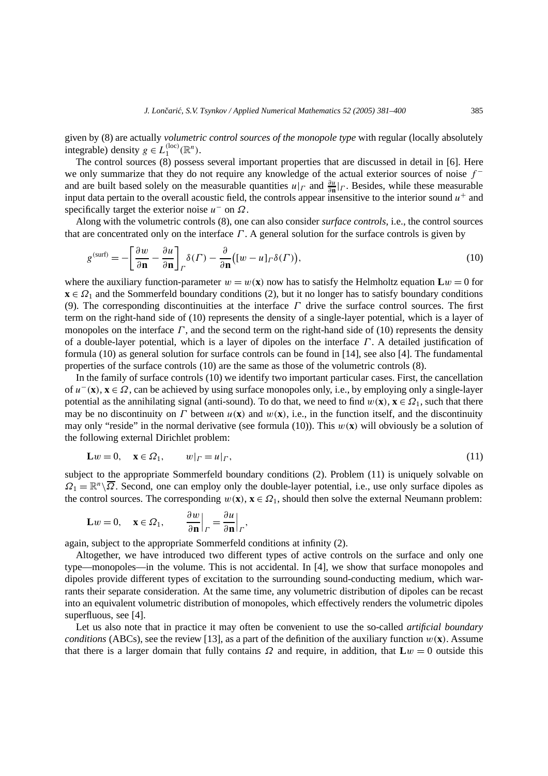given by (8) are actually *volumetric control sources of the monopole type* with regular (locally absolutely integrable) density  $g \in L_1^{(\text{loc})}(\mathbb{R}^n)$ .

The control sources (8) possess several important properties that are discussed in detail in [6]. Here we only summarize that they do not require any knowledge of the actual exterior sources of noise *f* <sup>−</sup> and are built based solely on the measurable quantities  $u|_{\Gamma}$  and  $\frac{\partial u}{\partial n}|_{\Gamma}$ . Besides, while these measurable input data pertain to the overall acoustic field, the controls appear insensitive to the interior sound  $u^+$  and specifically target the exterior noise *u*<sup>−</sup> on *Ω*.

Along with the volumetric controls (8), one can also consider *surface controls*, i.e., the control sources that are concentrated only on the interface *Γ* . A general solution for the surface controls is given by

$$
g^{(\text{surf})} = -\left[\frac{\partial w}{\partial \mathbf{n}} - \frac{\partial u}{\partial \mathbf{n}}\right]_P \delta(\Gamma) - \frac{\partial}{\partial \mathbf{n}} \big( [w - u]_P \delta(\Gamma) \big),\tag{10}
$$

where the auxiliary function-parameter  $w = w(\mathbf{x})$  now has to satisfy the Helmholtz equation  $\mathbf{L}w = 0$  for  $\mathbf{x} \in \Omega_1$  and the Sommerfeld boundary conditions (2), but it no longer has to satisfy boundary conditions (9). The corresponding discontinuities at the interface *Γ* drive the surface control sources. The first term on the right-hand side of (10) represents the density of a single-layer potential, which is a layer of monopoles on the interface  $\Gamma$ , and the second term on the right-hand side of (10) represents the density of a double-layer potential, which is a layer of dipoles on the interface *Γ* . A detailed justification of formula (10) as general solution for surface controls can be found in [14], see also [4]. The fundamental properties of the surface controls (10) are the same as those of the volumetric controls (8).

In the family of surface controls (10) we identify two important particular cases. First, the cancellation of *u*<sup>−</sup>*(***x***)*, **x** ∈ *Ω*, can be achieved by using surface monopoles only, i.e., by employing only a single-layer potential as the annihilating signal (anti-sound). To do that, we need to find  $w(\mathbf{x})$ ,  $\mathbf{x} \in \Omega_1$ , such that there may be no discontinuity on *Γ* between  $u(\mathbf{x})$  and  $w(\mathbf{x})$ , i.e., in the function itself, and the discontinuity may only "reside" in the normal derivative (see formula (10)). This  $w(\mathbf{x})$  will obviously be a solution of the following external Dirichlet problem:

$$
\mathbf{L}w = 0, \quad \mathbf{x} \in \Omega_1, \qquad w|_{\Gamma} = u|_{\Gamma}, \tag{11}
$$

subject to the appropriate Sommerfeld boundary conditions (2). Problem (11) is uniquely solvable on  $\Omega_1 = \mathbb{R}^n \setminus \overline{\Omega}$ . Second, one can employ only the double-layer potential, i.e., use only surface dipoles as the control sources. The corresponding  $w(\mathbf{x})$ ,  $\mathbf{x} \in \Omega_1$ , should then solve the external Neumann problem:

$$
\mathbf{L}w = 0, \quad \mathbf{x} \in \Omega_1, \qquad \frac{\partial w}{\partial \mathbf{n}} \Big|_{\Gamma} = \frac{\partial u}{\partial \mathbf{n}} \Big|_{\Gamma},
$$

again, subject to the appropriate Sommerfeld conditions at infinity (2).

Altogether, we have introduced two different types of active controls on the surface and only one type—monopoles—in the volume. This is not accidental. In [4], we show that surface monopoles and dipoles provide different types of excitation to the surrounding sound-conducting medium, which warrants their separate consideration. At the same time, any volumetric distribution of dipoles can be recast into an equivalent volumetric distribution of monopoles, which effectively renders the volumetric dipoles superfluous, see [4].

Let us also note that in practice it may often be convenient to use the so-called *artificial boundary conditions* (ABCs), see the review [13], as a part of the definition of the auxiliary function  $w(\mathbf{x})$ . Assume that there is a larger domain that fully contains  $\Omega$  and require, in addition, that  $\mathbf{L}w = 0$  outside this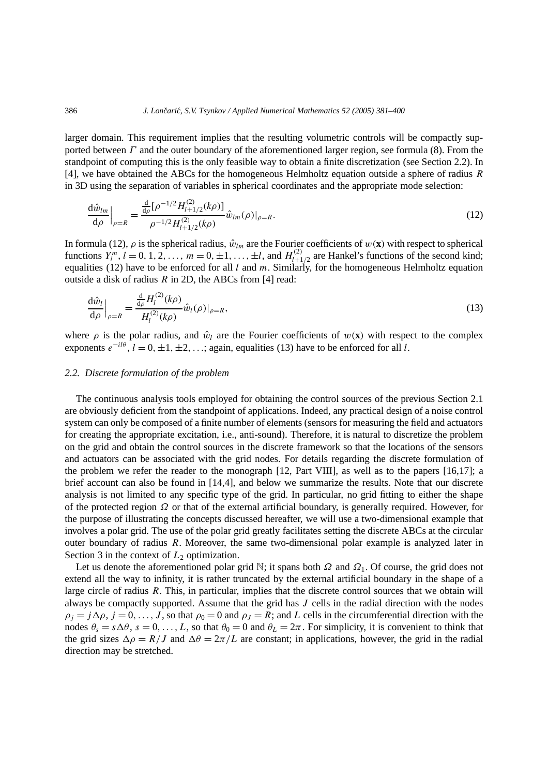larger domain. This requirement implies that the resulting volumetric controls will be compactly supported between *Γ* and the outer boundary of the aforementioned larger region, see formula (8). From the standpoint of computing this is the only feasible way to obtain a finite discretization (see Section 2.2). In [4], we have obtained the ABCs for the homogeneous Helmholtz equation outside a sphere of radius *R* in 3D using the separation of variables in spherical coordinates and the appropriate mode selection:

$$
\frac{\mathrm{d}\hat{w}_{lm}}{\mathrm{d}\rho}\Big|_{\rho=R} = \frac{\frac{\mathrm{d}}{\mathrm{d}\rho} [\rho^{-1/2} H_{l+1/2}^{(2)}(k\rho)]}{\rho^{-1/2} H_{l+1/2}^{(2)}(k\rho)} \hat{w}_{lm}(\rho)|_{\rho=R}.\tag{12}
$$

In formula (12),  $\rho$  is the spherical radius,  $\hat{w}_{lm}$  are the Fourier coefficients of  $w(\mathbf{x})$  with respect to spherical functions  $Y_l^m$ ,  $l = 0, 1, 2, \ldots, m = 0, \pm 1, \ldots, \pm l$ , and  $H_{l+1/2}^{(2)}$  are Hankel's functions of the second kind; equalities (12) have to be enforced for all *l* and *m*. Similarly, for the homogeneous Helmholtz equation outside a disk of radius *R* in 2D, the ABCs from [4] read:

$$
\frac{\mathrm{d}\hat{w}_l}{\mathrm{d}\rho}\Big|_{\rho=R} = \frac{\frac{\mathrm{d}}{\mathrm{d}\rho}H_l^{(2)}(k\rho)}{H_l^{(2)}(k\rho)}\hat{w}_l(\rho)|_{\rho=R},\tag{13}
$$

where  $\rho$  is the polar radius, and  $\hat{w}_l$  are the Fourier coefficients of  $w(\mathbf{x})$  with respect to the complex exponents  $e^{-i\theta}$ ,  $l = 0, \pm 1, \pm 2, \ldots$ ; again, equalities (13) have to be enforced for all *l*.

# *2.2. Discrete formulation of the problem*

The continuous analysis tools employed for obtaining the control sources of the previous Section 2.1 are obviously deficient from the standpoint of applications. Indeed, any practical design of a noise control system can only be composed of a finite number of elements (sensors for measuring the field and actuators for creating the appropriate excitation, i.e., anti-sound). Therefore, it is natural to discretize the problem on the grid and obtain the control sources in the discrete framework so that the locations of the sensors and actuators can be associated with the grid nodes. For details regarding the discrete formulation of the problem we refer the reader to the monograph [12, Part VIII], as well as to the papers [16,17]; a brief account can also be found in [14,4], and below we summarize the results. Note that our discrete analysis is not limited to any specific type of the grid. In particular, no grid fitting to either the shape of the protected region *Ω* or that of the external artificial boundary, is generally required. However, for the purpose of illustrating the concepts discussed hereafter, we will use a two-dimensional example that involves a polar grid. The use of the polar grid greatly facilitates setting the discrete ABCs at the circular outer boundary of radius *R*. Moreover, the same two-dimensional polar example is analyzed later in Section 3 in the context of  $L_2$  optimization.

Let us denote the aforementioned polar grid N; it spans both *Ω* and *Ω*1. Of course, the grid does not extend all the way to infinity, it is rather truncated by the external artificial boundary in the shape of a large circle of radius *R*. This, in particular, implies that the discrete control sources that we obtain will always be compactly supported. Assume that the grid has *J* cells in the radial direction with the nodes  $\rho_j = j \Delta \rho$ ,  $j = 0, \ldots, J$ , so that  $\rho_0 = 0$  and  $\rho_j = R$ ; and *L* cells in the circumferential direction with the nodes  $\theta_s = s \Delta \theta$ ,  $s = 0, \ldots, L$ , so that  $\theta_0 = 0$  and  $\theta_L = 2\pi$ . For simplicity, it is convenient to think that the grid sizes  $\Delta \rho = R/J$  and  $\Delta \theta = 2\pi/L$  are constant; in applications, however, the grid in the radial direction may be stretched.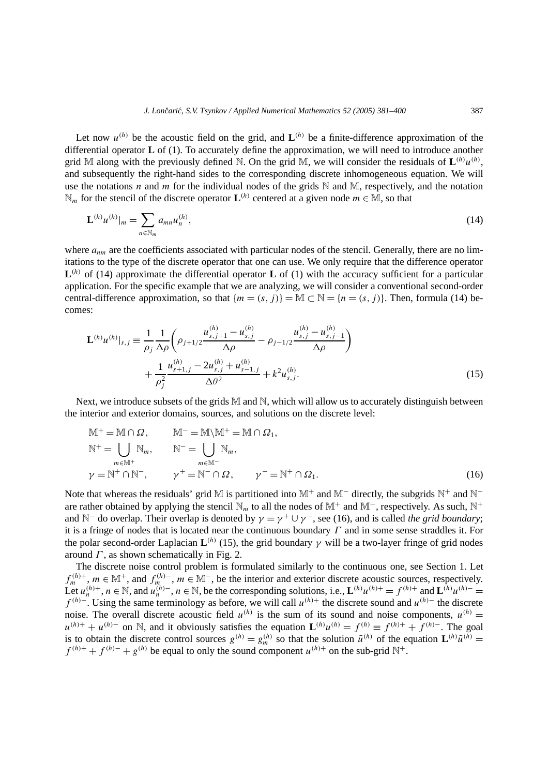Let now  $u^{(h)}$  be the acoustic field on the grid, and  $L^{(h)}$  be a finite-difference approximation of the differential operator **L** of (1). To accurately define the approximation, we will need to introduce another grid M along with the previously defined N. On the grid M, we will consider the residuals of  $\mathbf{L}^{(h)}u^{(h)}$ . and subsequently the right-hand sides to the corresponding discrete inhomogeneous equation. We will use the notations *n* and *m* for the individual nodes of the grids  $\mathbb N$  and  $\mathbb M$ , respectively, and the notation  $\mathbb{N}_m$  for the stencil of the discrete operator **L**<sup>(h)</sup> centered at a given node *m* ∈  $\mathbb{M}$ , so that

$$
\mathbf{L}^{(h)}u^{(h)}|_{m} = \sum_{n \in \mathbb{N}_m} a_{mn} u_n^{(h)}, \tag{14}
$$

where  $a_{nm}$  are the coefficients associated with particular nodes of the stencil. Generally, there are no limitations to the type of the discrete operator that one can use. We only require that the difference operator  $\mathbf{L}^{(h)}$  of (14) approximate the differential operator **L** of (1) with the accuracy sufficient for a particular application. For the specific example that we are analyzing, we will consider a conventional second-order central-difference approximation, so that  ${m = (s, j)} = M \subset N = {n = (s, j)}$ . Then, formula (14) becomes:

$$
\mathbf{L}^{(h)}u^{(h)}|_{s,j} \equiv \frac{1}{\rho_j} \frac{1}{\Delta \rho} \left( \rho_{j+1/2} \frac{u_{s,j+1}^{(h)} - u_{s,j}^{(h)}}{\Delta \rho} - \rho_{j-1/2} \frac{u_{s,j}^{(h)} - u_{s,j-1}^{(h)}}{\Delta \rho} \right) + \frac{1}{\rho_j^2} \frac{u_{s+1,j}^{(h)} - 2u_{s,j}^{(h)} + u_{s-1,j}^{(h)}}{\Delta \theta^2} + k^2 u_{s,j}^{(h)}.
$$
\n(15)

Next, we introduce subsets of the grids  $M$  and  $N$ , which will allow us to accurately distinguish between the interior and exterior domains, sources, and solutions on the discrete level:

$$
M^{+} = M \cap \Omega, \qquad M^{-} = M \setminus M^{+} = M \cap \Omega_{1},
$$
  
\n
$$
N^{+} = \bigcup_{m \in M^{+}} N_{m}, \qquad N^{-} = \bigcup_{m \in M^{-}} N_{m},
$$
  
\n
$$
\gamma = N^{+} \cap N^{-}, \qquad \gamma^{+} = N^{-} \cap \Omega, \qquad \gamma^{-} = N^{+} \cap \Omega_{1}.
$$
  
\n(16)

Note that whereas the residuals' grid M is partitioned into M<sup>+</sup> and M<sup>−</sup> directly, the subgrids N<sup>+</sup> and N<sup>−</sup> are rather obtained by applying the stencil  $\mathbb{N}_m$  to all the nodes of M<sup>+</sup> and M<sup>−</sup>, respectively. As such, N<sup>+</sup> and N<sup>−</sup> do overlap. Their overlap is denoted by  $\gamma = \gamma^+ \cup \gamma^-$ , see (16), and is called *the grid boundary*; it is a fringe of nodes that is located near the continuous boundary *Γ* and in some sense straddles it. For the polar second-order Laplacian  $\mathbf{L}^{(h)}$  (15), the grid boundary  $\gamma$  will be a two-layer fringe of grid nodes around *Γ* , as shown schematically in Fig. 2.

The discrete noise control problem is formulated similarly to the continuous one, see Section 1. Let  $f_m^{(h)+}, m \in \mathbb{M}^+$ , and  $f_{m}^{(h)-}, m \in \mathbb{M}^-$ , be the interior and exterior discrete acoustic sources, respectively. Let  $u_n^{(h)}$ +,  $n \in \mathbb{N}$ , and  $u_n^{(h)}$ −,  $n \in \mathbb{N}$ , be the corresponding solutions, i.e.,  $\mathbf{L}^{(h)}u^{(h)}$  =  $f^{(h)}$ + and  $\mathbf{L}^{(h)}u^{(h)}$ − = *f (h)*<sup>−</sup>. Using the same terminology as before, we will call *u(h)*<sup>+</sup> the discrete sound and *u(h)*<sup>−</sup> the discrete noise. The overall discrete acoustic field  $u^{(h)}$  is the sum of its sound and noise components,  $u^{(h)} =$ *u*<sup>(h)+</sup> + *u*<sup>(h)−</sup> on N, and it obviously satisfies the equation  $\mathbf{L}^{(h)}u^{(h)} = f^{(h)} \equiv f^{(h)+} + f^{(h)-}$ . The goal is to obtain the discrete control sources  $g^{(h)} = g_m^{(h)}$  so that the solution  $\tilde{u}^{(h)}$  of the equation  $\mathbf{L}^{(h)}\tilde{u}^{(h)} =$  $f^{(h)+} + f^{(h)-} + g^{(h)}$  be equal to only the sound component  $u^{(h)+}$  on the sub-grid N<sup>+</sup>.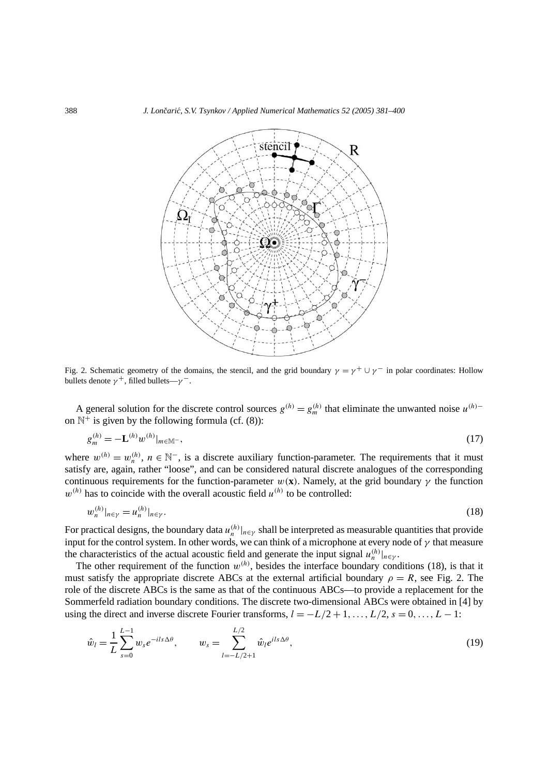

Fig. 2. Schematic geometry of the domains, the stencil, and the grid boundary  $\gamma = \gamma^+ \cup \gamma^-$  in polar coordinates: Hollow bullets denote  $\gamma^+$ , filled bullets— $\gamma^-$ .

A general solution for the discrete control sources  $g^{(h)} = g_m^{(h)}$  that eliminate the unwanted noise  $u^{(h)}$ on  $\mathbb{N}^+$  is given by the following formula (cf. (8)):

$$
g_m^{(h)} = -\mathbf{L}^{(h)} w^{(h)}|_{m \in \mathbb{M}^-},\tag{17}
$$

where  $w^{(h)} = w_n^{(h)}$ ,  $n \in \mathbb{N}^-$ , is a discrete auxiliary function-parameter. The requirements that it must satisfy are, again, rather "loose", and can be considered natural discrete analogues of the corresponding continuous requirements for the function-parameter  $w(\mathbf{x})$ . Namely, at the grid boundary  $\gamma$  the function  $w^{(h)}$  has to coincide with the overall acoustic field  $u^{(h)}$  to be controlled:

$$
w_n^{(h)}|_{n \in \gamma} = u_n^{(h)}|_{n \in \gamma}.
$$
\n(18)

For practical designs, the boundary data  $u_n^{(h)}|_{n \in \gamma}$  shall be interpreted as measurable quantities that provide input for the control system. In other words, we can think of a microphone at every node of *γ* that measure the characteristics of the actual acoustic field and generate the input signal  $u_n^{(h)}|_{n \in \gamma}$ .

The other requirement of the function  $w^{(h)}$ , besides the interface boundary conditions (18), is that it must satisfy the appropriate discrete ABCs at the external artificial boundary  $\rho = R$ , see Fig. 2. The role of the discrete ABCs is the same as that of the continuous ABCs—to provide a replacement for the Sommerfeld radiation boundary conditions. The discrete two-dimensional ABCs were obtained in [4] by using the direct and inverse discrete Fourier transforms,  $l = -L/2 + 1, \ldots, L/2$ ,  $s = 0, \ldots, L - 1$ :

$$
\hat{w}_l = \frac{1}{L} \sum_{s=0}^{L-1} w_s e^{-ils\Delta\theta}, \qquad w_s = \sum_{l=-L/2+1}^{L/2} \hat{w}_l e^{ils\Delta\theta}, \tag{19}
$$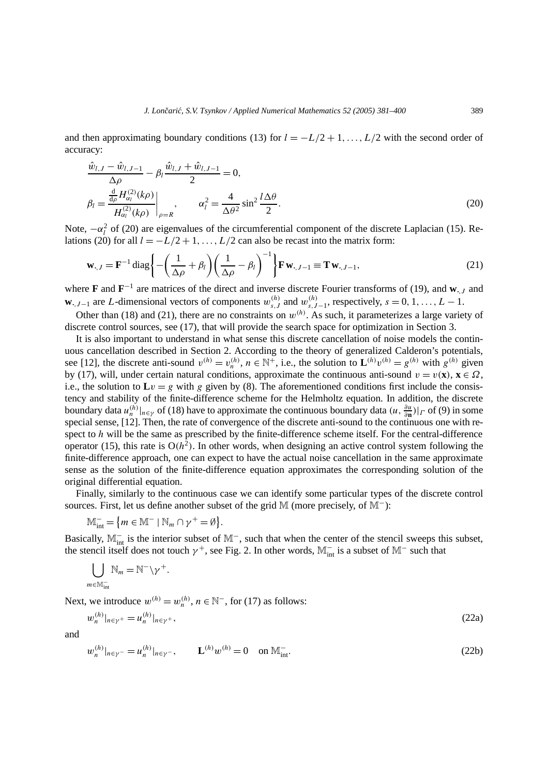and then approximating boundary conditions (13) for  $l = -L/2 + 1, \ldots, L/2$  with the second order of accuracy:

$$
\frac{\hat{w}_{l,J} - \hat{w}_{l,J-1}}{\Delta \rho} - \beta_l \frac{\hat{w}_{l,J} + \hat{w}_{l,J-1}}{2} = 0,
$$
\n
$$
\beta_l = \frac{\frac{d}{d\rho} H_{\alpha_l}^{(2)}(k\rho)}{H_{\alpha_l}^{(2)}(k\rho)} \bigg|_{\rho = R}, \qquad \alpha_l^2 = \frac{4}{\Delta \theta^2} \sin^2 \frac{l \Delta \theta}{2}.
$$
\n(20)

Note,  $-\alpha_l^2$  of (20) are eigenvalues of the circumferential component of the discrete Laplacian (15). Relations (20) for all  $l = -L/2 + 1, \ldots, L/2$  can also be recast into the matrix form:

$$
\mathbf{w}_{\cdot,J} = \mathbf{F}^{-1} \operatorname{diag} \left\{ -\left( \frac{1}{\Delta \rho} + \beta_l \right) \left( \frac{1}{\Delta \rho} - \beta_l \right)^{-1} \right\} \mathbf{F} \mathbf{w}_{\cdot,J-1} \equiv \mathbf{T} \mathbf{w}_{\cdot,J-1},\tag{21}
$$

where **<sup>F</sup>** and **<sup>F</sup>**<sup>−</sup><sup>1</sup> are matrices of the direct and inverse discrete Fourier transforms of (19), and **<sup>w</sup>·***,J* and **w**<sub>*,J*−1</sub> are *L*-dimensional vectors of components  $w_{s,J}^{(h)}$  and  $w_{s,J-1}^{(h)}$ , respectively,  $s = 0, 1, \ldots, L-1$ .

Other than (18) and (21), there are no constraints on  $w^{(h)}$ . As such, it parameterizes a large variety of discrete control sources, see (17), that will provide the search space for optimization in Section 3.

It is also important to understand in what sense this discrete cancellation of noise models the continuous cancellation described in Section 2. According to the theory of generalized Calderon's potentials, see [12], the discrete anti-sound  $v^{(h)} = v_n^{(h)}$ ,  $n \in \mathbb{N}^+$ , i.e., the solution to  $\mathbf{L}^{(h)}v^{(h)} = g^{(h)}$  with  $g^{(h)}$  given by (17), will, under certain natural conditions, approximate the continuous anti-sound  $v = v(\mathbf{x})$ ,  $\mathbf{x} \in \Omega$ , i.e., the solution to  $Lv = g$  with *g* given by (8). The aforementioned conditions first include the consistency and stability of the finite-difference scheme for the Helmholtz equation. In addition, the discrete boundary data  $u_n^{(h)}|_{n \in \gamma}$  of (18) have to approximate the continuous boundary data  $(u, \frac{\partial u}{\partial n})|_{\Gamma}$  of (9) in some special sense, [12]. Then, the rate of convergence of the discrete anti-sound to the continuous one with respect to *h* will be the same as prescribed by the finite-difference scheme itself. For the central-difference operator (15), this rate is  $O(h^2)$ . In other words, when designing an active control system following the finite-difference approach, one can expect to have the actual noise cancellation in the same approximate sense as the solution of the finite-difference equation approximates the corresponding solution of the original differential equation.

Finally, similarly to the continuous case we can identify some particular types of the discrete control sources. First, let us define another subset of the grid M (more precisely, of M<sup>−</sup>):

$$
\mathbb{M}_{\text{int}}^- = \{ m \in \mathbb{M}^- \mid \mathbb{N}_m \cap \gamma^+ = \emptyset \}.
$$

Basically,  $\mathbb{M}^-$  is the interior subset of  $\mathbb{M}^-$ , such that when the center of the stencil sweeps this subset, the stencil itself does not touch  $\gamma^+$ , see Fig. 2. In other words, M<sup> $^-$ </sup> is a subset of M<sup>−</sup> such that

$$
\bigcup_{m \in \mathbb{M}_{\rm int}^-} \mathbb{N}_m = \mathbb{N}^- \backslash \gamma^+.
$$

Next, we introduce  $w^{(h)} = w_n^{(h)}$ ,  $n \in \mathbb{N}^-$ , for (17) as follows:

$$
w_n^{(h)}|_{n \in \gamma^+} = u_n^{(h)}|_{n \in \gamma^+},\tag{22a}
$$

and

$$
w_n^{(h)}|_{n \in \gamma^-} = u_n^{(h)}|_{n \in \gamma^-}, \qquad \mathbf{L}^{(h)} w^{(h)} = 0 \quad \text{on } \mathbb{M}^-_{\text{int}}.
$$
 (22b)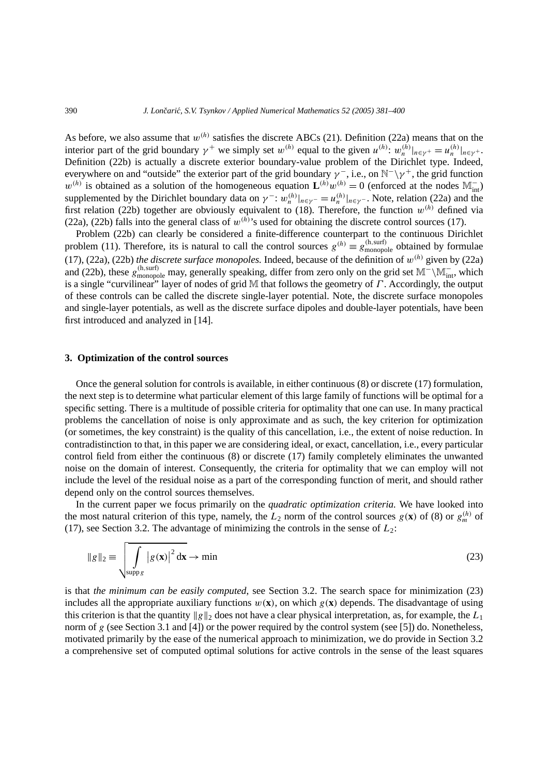As before, we also assume that *w(h)* satisfies the discrete ABCs (21). Definition (22a) means that on the interior part of the grid boundary  $\gamma^+$  we simply set  $w^{(h)}$  equal to the given  $u^{(h)}$ :  $w_n^{(h)}|_{n \in \gamma^+} = u_n^{(h)}|_{n \in \gamma^+}$ . Definition (22b) is actually a discrete exterior boundary-value problem of the Dirichlet type. Indeed, everywhere on and "outside" the exterior part of the grid boundary  $\gamma^-$ , i.e., on N<sup>-</sup>\ $\gamma^+$ , the grid function  $w^{(h)}$  is obtained as a solution of the homogeneous equation  $\mathbf{L}^{(h)}w^{(h)} = 0$  (enforced at the nodes  $\mathbb{M}_{int}^-$ ) supplemented by the Dirichlet boundary data on  $\gamma^-$ :  $w_n^{(h)}|_{n \in \gamma^-} = u_n^{(h)}|_{n \in \gamma^-}$ . Note, relation (22a) and the first relation (22b) together are obviously equivalent to (18). Therefore, the function *w(h)* defined via (22a), (22b) falls into the general class of  $w^{(h)}$ 's used for obtaining the discrete control sources (17).

Problem (22b) can clearly be considered a finite-difference counterpart to the continuous Dirichlet problem (11). Therefore, its is natural to call the control sources  $g^{(h)} \equiv g_{\text{monopole}}^{(h,\text{surf})}$  obtained by formulae (17), (22a), (22b) *the discrete surface monopoles*. Indeed, because of the definition of  $w^{(h)}$  given by (22a) and (22b), these  $g_{\text{monopole}}^{(h,\text{surf})}$  may, generally speaking, differ from zero only on the grid set  $M^{-}\M_{\text{int}}^{-}$ , which is a single "curvilinear" layer of nodes of grid M that follows the geometry of *Γ* . Accordingly, the output of these controls can be called the discrete single-layer potential. Note, the discrete surface monopoles and single-layer potentials, as well as the discrete surface dipoles and double-layer potentials, have been first introduced and analyzed in [14].

# **3. Optimization of the control sources**

Once the general solution for controls is available, in either continuous (8) or discrete (17) formulation, the next step is to determine what particular element of this large family of functions will be optimal for a specific setting. There is a multitude of possible criteria for optimality that one can use. In many practical problems the cancellation of noise is only approximate and as such, the key criterion for optimization (or sometimes, the key constraint) is the quality of this cancellation, i.e., the extent of noise reduction. In contradistinction to that, in this paper we are considering ideal, or exact, cancellation, i.e., every particular control field from either the continuous (8) or discrete (17) family completely eliminates the unwanted noise on the domain of interest. Consequently, the criteria for optimality that we can employ will not include the level of the residual noise as a part of the corresponding function of merit, and should rather depend only on the control sources themselves.

In the current paper we focus primarily on the *quadratic optimization criteria.* We have looked into the most natural criterion of this type, namely, the  $L_2$  norm of the control sources  $g(\mathbf{x})$  of (8) or  $g_m^{(h)}$  of (17), see Section 3.2. The advantage of minimizing the controls in the sense of  $L_2$ :

$$
||g||_2 \equiv \sqrt{\int_{\text{supp } g} |g(\mathbf{x})|^2 d\mathbf{x}} \to \min
$$
 (23)

is that *the minimum can be easily computed*, see Section 3.2. The search space for minimization (23) includes all the appropriate auxiliary functions  $w(\mathbf{x})$ , on which  $g(\mathbf{x})$  depends. The disadvantage of using this criterion is that the quantity  $\|g\|_2$  does not have a clear physical interpretation, as, for example, the  $L_1$ norm of *g* (see Section 3.1 and [4]) or the power required by the control system (see [5]) do. Nonetheless, motivated primarily by the ease of the numerical approach to minimization, we do provide in Section 3.2 a comprehensive set of computed optimal solutions for active controls in the sense of the least squares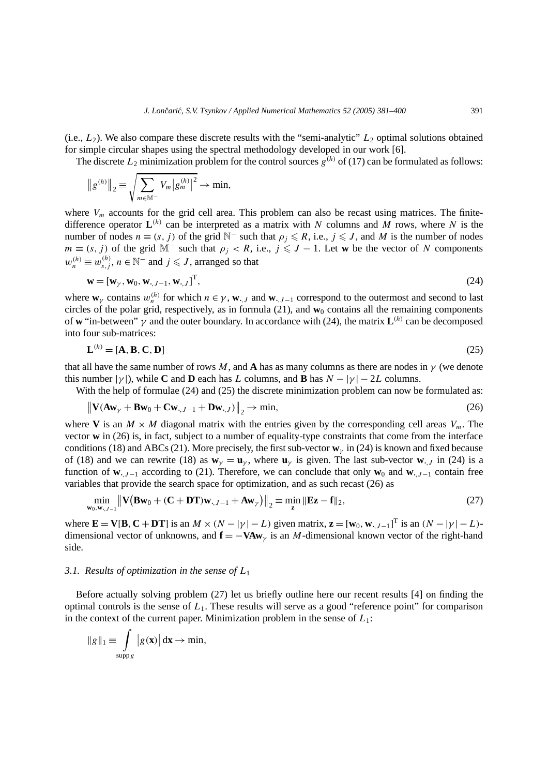(i.e.,  $L_2$ ). We also compare these discrete results with the "semi-analytic"  $L_2$  optimal solutions obtained for simple circular shapes using the spectral methodology developed in our work [6].

The discrete  $L_2$  minimization problem for the control sources  $g^{(h)}$  of (17) can be formulated as follows:

$$
||g^{(h)}||_2 \equiv \sqrt{\sum_{m \in \mathbb{M}^-} V_m |g_m^{(h)}|^2} \to \min,
$$

where  $V_m$  accounts for the grid cell area. This problem can also be recast using matrices. The finitedifference operator  $L^{(h)}$  can be interpreted as a matrix with *N* columns and *M* rows, where *N* is the number of nodes  $n \equiv (s, j)$  of the grid N<sup>-</sup> such that  $\rho_j \le R$ , i.e.,  $j \le J$ , and M is the number of nodes *m* ≡ (*s*, *j*) of the grid M<sup>−</sup> such that  $\rho_j$  < R, i.e.,  $j \leq J - 1$ . Let **w** be the vector of *N* components  $w_n^{(h)} \equiv w_{s,j}^{(h)}$ ,  $n \in \mathbb{N}^-$  and  $j \leqslant J$ , arranged so that

$$
\mathbf{w} = [\mathbf{w}_{\gamma}, \mathbf{w}_0, \mathbf{w}_{\cdot, J-1}, \mathbf{w}_{\cdot, J}]^{\mathrm{T}},\tag{24}
$$

where  $\mathbf{w}_\gamma$  contains  $w_n^{(h)}$  for which  $n \in \gamma$ ,  $\mathbf{w}_{\cdot}$ , and  $\mathbf{w}_{\cdot}$ ,  $j-1$  correspond to the outermost and second to last circles of the polar grid, respectively, as in formula  $(21)$ , and  $\mathbf{w}_0$  contains all the remaining components of **w** "in-between" *γ* and the outer boundary. In accordance with (24), the matrix **L***(h)* can be decomposed into four sub-matrices:

$$
\mathbf{L}^{(h)} = [\mathbf{A}, \mathbf{B}, \mathbf{C}, \mathbf{D}] \tag{25}
$$

that all have the same number of rows *M*, and **A** has as many columns as there are nodes in  $\gamma$  (we denote this number  $|\gamma|$ , while **C** and **D** each has *L* columns, and **B** has  $N - |\gamma| - 2L$  columns.

With the help of formulae (24) and (25) the discrete minimization problem can now be formulated as:

$$
\|\mathbf{V}(\mathbf{A}\mathbf{w}_{\gamma} + \mathbf{B}\mathbf{w}_0 + \mathbf{C}\mathbf{w}_{\cdot,J-1} + \mathbf{D}\mathbf{w}_{\cdot,J})\|_2 \to \min,\tag{26}
$$

where **V** is an  $M \times M$  diagonal matrix with the entries given by the corresponding cell areas  $V_m$ . The vector **w** in (26) is, in fact, subject to a number of equality-type constraints that come from the interface conditions (18) and ABCs (21). More precisely, the first sub-vector  $\mathbf{w}_\nu$  in (24) is known and fixed because of (18) and we can rewrite (18) as  $w_\gamma = u_\gamma$ , where  $u_\gamma$  is given. The last sub-vector **w**<sub> $\cdot$ </sub>, *j* in (24) is a function of **w**<sub>•</sub>*,* $J-1$  according to (21). Therefore, we can conclude that only **w**<sub>0</sub> and **w**<sub>•</sub>*,* $J-1$  contain free variables that provide the search space for optimization, and as such recast (26) as

$$
\min_{\mathbf{w}_0, \mathbf{w}_{\cdot, J-1}} \left\| \mathbf{V} \left( \mathbf{B} \mathbf{w}_0 + (\mathbf{C} + \mathbf{D} \mathbf{T}) \mathbf{w}_{\cdot, J-1} + \mathbf{A} \mathbf{w}_{\gamma} \right) \right\|_2 \equiv \min_{\mathbf{z}} \left\| \mathbf{E} \mathbf{z} - \mathbf{f} \right\|_2, \tag{27}
$$

where  $\mathbf{E} = \mathbf{V}[\mathbf{B}, \mathbf{C} + \mathbf{D}\mathbf{T}]$  is an  $M \times (N - |\gamma| - L)$  given matrix,  $\mathbf{z} = [\mathbf{w}_0, \mathbf{w}_{\cdot, J-1}]^T$  is an  $(N - |\gamma| - L)$ dimensional vector of unknowns, and  $\mathbf{f} = -\mathbf{V} \mathbf{A} \mathbf{w}$ <sub>*γ*</sub> is an *M*-dimensional known vector of the right-hand side.

#### *3.1. Results of optimization in the sense of L*<sup>1</sup>

Before actually solving problem (27) let us briefly outline here our recent results [4] on finding the optimal controls is the sense of *L*1. These results will serve as a good "reference point" for comparison in the context of the current paper. Minimization problem in the sense of *L*1:

$$
\|g\|_1 \equiv \int_{\text{supp }g} |g(\mathbf{x})| \, \mathrm{d}\mathbf{x} \to \min,
$$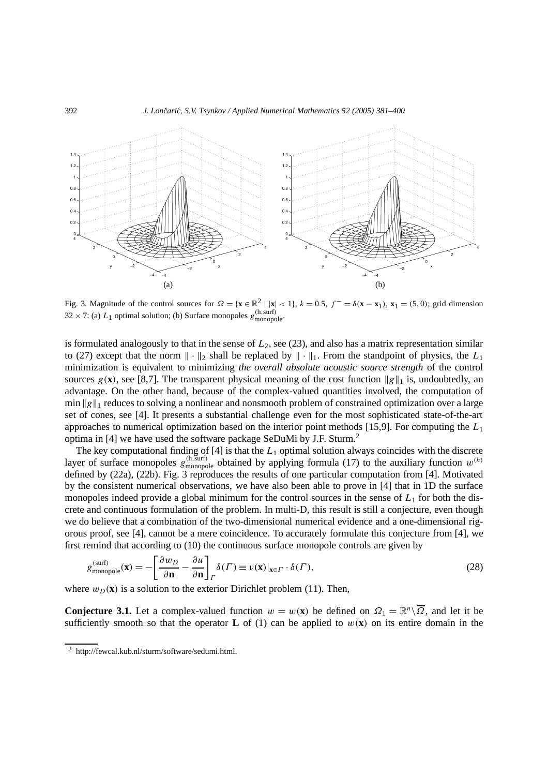

Fig. 3. Magnitude of the control sources for  $\Omega = {\mathbf{x} \in \mathbb{R}^2 \mid |\mathbf{x}| < 1}$ ,  $k = 0.5$ ,  $f^- = \delta(\mathbf{x} - \mathbf{x}_1)$ ,  $\mathbf{x}_1 = (5, 0)$ ; grid dimension  $32 \times 7$ : (a)  $L_1$  optimal solution; (b) Surface monopoles  $g^{(h,surf)}_{\text{monopole}}$ .

is formulated analogously to that in the sense of  $L_2$ , see (23), and also has a matrix representation similar to (27) except that the norm  $\|\cdot\|_2$  shall be replaced by  $\|\cdot\|_1$ . From the standpoint of physics, the  $L_1$ minimization is equivalent to minimizing *the overall absolute acoustic source strength* of the control sources  $g(\mathbf{x})$ , see [8,7]. The transparent physical meaning of the cost function  $\|g\|_1$  is, undoubtedly, an advantage. On the other hand, because of the complex-valued quantities involved, the computation of min ||g||1 reduces to solving a nonlinear and nonsmooth problem of constrained optimization over a large set of cones, see [4]. It presents a substantial challenge even for the most sophisticated state-of-the-art approaches to numerical optimization based on the interior point methods [15,9]. For computing the *L*<sup>1</sup> optima in [4] we have used the software package SeDuMi by J.F. Sturm.<sup>2</sup>

The key computational finding of  $[4]$  is that the  $L_1$  optimal solution always coincides with the discrete layer of surface monopoles  $g_{\text{monopole}}^{(h,\text{surf})}$  obtained by applying formula (17) to the auxiliary function  $w^{(h)}$ defined by (22a), (22b). Fig. 3 reproduces the results of one particular computation from [4]. Motivated by the consistent numerical observations, we have also been able to prove in [4] that in 1D the surface monopoles indeed provide a global minimum for the control sources in the sense of *L*<sup>1</sup> for both the discrete and continuous formulation of the problem. In multi-D, this result is still a conjecture, even though we do believe that a combination of the two-dimensional numerical evidence and a one-dimensional rigorous proof, see [4], cannot be a mere coincidence. To accurately formulate this conjecture from [4], we first remind that according to (10) the continuous surface monopole controls are given by

$$
g_{\text{monopole}}^{(\text{surf})}(\mathbf{x}) = -\left[\frac{\partial w_D}{\partial \mathbf{n}} - \frac{\partial u}{\partial \mathbf{n}}\right]_P \delta(\Gamma) \equiv \nu(\mathbf{x})|_{\mathbf{x} \in \Gamma} \cdot \delta(\Gamma),\tag{28}
$$

where  $w_D(\mathbf{x})$  is a solution to the exterior Dirichlet problem (11). Then,

**Conjecture 3.1.** Let a complex-valued function  $w = w(\mathbf{x})$  be defined on  $\Omega_1 = \mathbb{R}^n \setminus \overline{\Omega}$ , and let it be sufficiently smooth so that the operator **L** of (1) can be applied to  $w(\mathbf{x})$  on its entire domain in the

<sup>2</sup> http://fewcal.kub.nl/sturm/software/sedumi.html.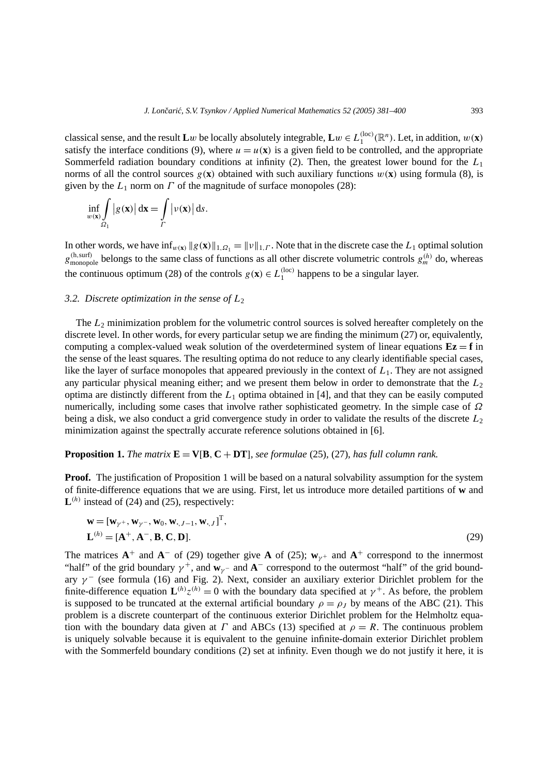classical sense, and the result  $\mathbf{L}w$  be locally absolutely integrable,  $\mathbf{L}w \in L_1^{(\text{loc})}(\mathbb{R}^n)$ . Let, in addition,  $w(\mathbf{x})$ satisfy the interface conditions (9), where  $u = u(\mathbf{x})$  is a given field to be controlled, and the appropriate Sommerfeld radiation boundary conditions at infinity (2). Then, the greatest lower bound for the *L*<sup>1</sup> norms of all the control sources  $g(\mathbf{x})$  obtained with such auxiliary functions  $w(\mathbf{x})$  using formula (8), is given by the  $L_1$  norm on  $\Gamma$  of the magnitude of surface monopoles (28):

$$
\inf_{w(\mathbf{x})} \int_{\Omega_1} |g(\mathbf{x})| d\mathbf{x} = \int_{\Gamma} |\nu(\mathbf{x})| d s.
$$

In other words, we have  $\inf_{w(x)} \|g(x)\|_{1,\Omega_1} = \|v\|_{1,\Gamma}$ . Note that in the discrete case the  $L_1$  optimal solution  $g^{(h,surf)}_{monopole}$  belongs to the same class of functions as all other discrete volumetric controls  $g^{(h)}_m$  do, whereas the continuous optimum (28) of the controls  $g(\mathbf{x}) \in L_1^{(\text{loc})}$  happens to be a singular layer.

# *3.2. Discrete optimization in the sense of L*<sup>2</sup>

The  $L_2$  minimization problem for the volumetric control sources is solved hereafter completely on the discrete level. In other words, for every particular setup we are finding the minimum (27) or, equivalently, computing a complex-valued weak solution of the overdetermined system of linear equations  $Ez = f$  in the sense of the least squares. The resulting optima do not reduce to any clearly identifiable special cases, like the layer of surface monopoles that appeared previously in the context of  $L_1$ . They are not assigned any particular physical meaning either; and we present them below in order to demonstrate that the  $L_2$ optima are distinctly different from the  $L_1$  optima obtained in [4], and that they can be easily computed numerically, including some cases that involve rather sophisticated geometry. In the simple case of *Ω* being a disk, we also conduct a grid convergence study in order to validate the results of the discrete *L*<sup>2</sup> minimization against the spectrally accurate reference solutions obtained in [6].

# **Proposition 1.** *The matrix*  $\mathbf{E} = \mathbf{V}[\mathbf{B}, \mathbf{C} + \mathbf{D}\mathbf{T}]$ *, see formulae* (25)*,* (27)*, has full column rank.*

T*,*

**Proof.** The justification of Proposition 1 will be based on a natural solvability assumption for the system of finite-difference equations that we are using. First, let us introduce more detailed partitions of **w** and  $\mathbf{L}^{(h)}$  instead of (24) and (25), respectively:

$$
\mathbf{w} = [\mathbf{w}_{\gamma^+}, \mathbf{w}_{\gamma^-}, \mathbf{w}_0, \mathbf{w}_{\cdot, J-1}, \mathbf{w}_{\cdot, J}]^{\mathrm{T}},
$$
  

$$
\mathbf{L}^{(h)} = [\mathbf{A}^+, \mathbf{A}^-, \mathbf{B}, \mathbf{C}, \mathbf{D}].
$$
 (29)

The matrices  $A^+$  and  $A^-$  of (29) together give A of (25);  $w_{\gamma+}$  and  $A^+$  correspond to the innermost "half" of the grid boundary  $\gamma^+$ , and  $\mathbf{w}_{\gamma}$  – and  $\mathbf{A}^-$  correspond to the outermost "half" of the grid boundary *γ* <sup>−</sup> (see formula (16) and Fig. 2). Next, consider an auxiliary exterior Dirichlet problem for the finite-difference equation  $\mathbf{L}^{(h)}z^{(h)} = 0$  with the boundary data specified at  $\gamma^+$ . As before, the problem is supposed to be truncated at the external artificial boundary  $\rho = \rho_J$  by means of the ABC (21). This problem is a discrete counterpart of the continuous exterior Dirichlet problem for the Helmholtz equation with the boundary data given at *Γ* and ABCs (13) specified at  $\rho = R$ . The continuous problem is uniquely solvable because it is equivalent to the genuine infinite-domain exterior Dirichlet problem with the Sommerfeld boundary conditions (2) set at infinity. Even though we do not justify it here, it is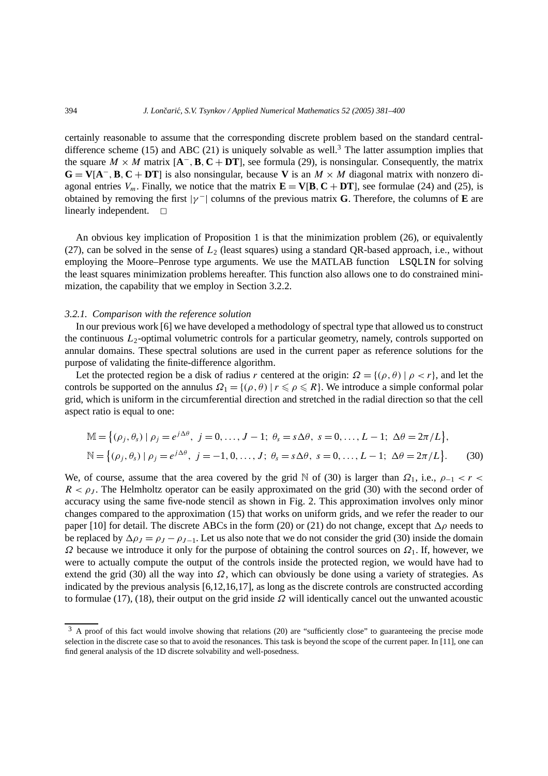certainly reasonable to assume that the corresponding discrete problem based on the standard centraldifference scheme (15) and ABC (21) is uniquely solvable as well.<sup>3</sup> The latter assumption implies that the square *M* × *M* matrix  $[A^-, B, C + DT]$ , see formula (29), is nonsingular. Consequently, the matrix  $G = V[A^-, B, C + DT]$  is also nonsingular, because V is an  $M \times M$  diagonal matrix with nonzero diagonal entries  $V_m$ . Finally, we notice that the matrix  $\mathbf{E} = \mathbf{V}[\mathbf{B}, \mathbf{C} + \mathbf{D}\mathbf{T}]$ , see formulae (24) and (25), is obtained by removing the first  $|\gamma|$  columns of the previous matrix **G**. Therefore, the columns of **E** are linearly independent.  $\square$ 

An obvious key implication of Proposition 1 is that the minimization problem (26), or equivalently (27), can be solved in the sense of  $L_2$  (least squares) using a standard QR-based approach, i.e., without employing the Moore–Penrose type arguments. We use the MATLAB function LSQLIN for solving the least squares minimization problems hereafter. This function also allows one to do constrained minimization, the capability that we employ in Section 3.2.2.

# *3.2.1. Comparison with the reference solution*

In our previous work [6] we have developed a methodology of spectral type that allowed us to construct the continuous *L*<sub>2</sub>-optimal volumetric controls for a particular geometry, namely, controls supported on annular domains. These spectral solutions are used in the current paper as reference solutions for the purpose of validating the finite-difference algorithm.

Let the protected region be a disk of radius *r* centered at the origin:  $\Omega = \{(\rho, \theta) | \rho < r\}$ , and let the controls be supported on the annulus  $\Omega_1 = \{(\rho, \theta) | r \leq \rho \leq R\}$ . We introduce a simple conformal polar grid, which is uniform in the circumferential direction and stretched in the radial direction so that the cell aspect ratio is equal to one:

$$
\mathbb{M} = \{ (\rho_j, \theta_s) \mid \rho_j = e^{j\Delta\theta}, \ j = 0, \dots, J-1; \ \theta_s = s\Delta\theta, \ s = 0, \dots, L-1; \ \Delta\theta = 2\pi/L \},
$$
  

$$
\mathbb{N} = \{ (\rho_j, \theta_s) \mid \rho_j = e^{j\Delta\theta}, \ j = -1, 0, \dots, J; \ \theta_s = s\Delta\theta, \ s = 0, \dots, L-1; \ \Delta\theta = 2\pi/L \}.
$$
 (30)

We, of course, assume that the area covered by the grid N of (30) is larger than  $\Omega_1$ , i.e.,  $\rho_{-1} < r <$  $R < \rho_J$ . The Helmholtz operator can be easily approximated on the grid (30) with the second order of accuracy using the same five-node stencil as shown in Fig. 2. This approximation involves only minor changes compared to the approximation (15) that works on uniform grids, and we refer the reader to our paper [10] for detail. The discrete ABCs in the form (20) or (21) do not change, except that  $\Delta \rho$  needs to be replaced by  $\Delta \rho_J = \rho_J - \rho_{J-1}$ . Let us also note that we do not consider the grid (30) inside the domain *Ω* because we introduce it only for the purpose of obtaining the control sources on *Ω*1. If, however, we were to actually compute the output of the controls inside the protected region, we would have had to extend the grid (30) all the way into *Ω*, which can obviously be done using a variety of strategies. As indicated by the previous analysis [6,12,16,17], as long as the discrete controls are constructed according to formulae (17), (18), their output on the grid inside *Ω* will identically cancel out the unwanted acoustic

<sup>&</sup>lt;sup>3</sup> A proof of this fact would involve showing that relations (20) are "sufficiently close" to guaranteeing the precise mode selection in the discrete case so that to avoid the resonances. This task is beyond the scope of the current paper. In [11], one can find general analysis of the 1D discrete solvability and well-posedness.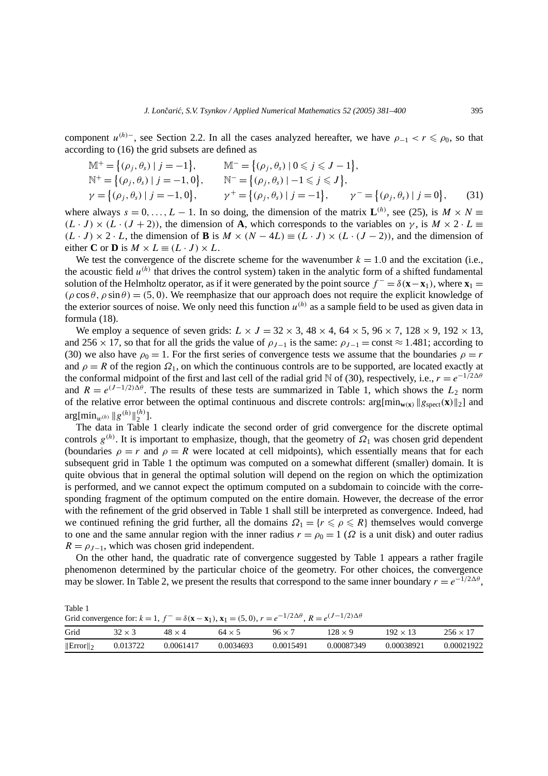component  $u^{(h)}$ <sup>−</sup>, see Section 2.2. In all the cases analyzed hereafter, we have  $\rho_{-1} < r \leq \rho_0$ , so that according to (16) the grid subsets are defined as

$$
\mathbb{M}^{+} = \{(\rho_{j}, \theta_{s}) \mid j = -1\}, \qquad \mathbb{M}^{-} = \{(\rho_{j}, \theta_{s}) \mid 0 \leq j \leq J - 1\},
$$
\n
$$
\mathbb{N}^{+} = \{(\rho_{j}, \theta_{s}) \mid j = -1, 0\}, \qquad \mathbb{N}^{-} = \{(\rho_{j}, \theta_{s}) \mid -1 \leq j \leq J\},
$$
\n
$$
\gamma = \{(\rho_{j}, \theta_{s}) \mid j = -1, 0\}, \qquad \gamma^{+} = \{(\rho_{j}, \theta_{s}) \mid j = -1\}, \qquad \gamma^{-} = \{(\rho_{j}, \theta_{s}) \mid j = 0\}, \qquad (31)
$$

where always  $s = 0, \ldots, L - 1$ . In so doing, the dimension of the matrix  $\mathbf{L}^{(h)}$ , see (25), is  $M \times N \equiv$  $(L \cdot J) \times (L \cdot (J + 2))$ , the dimension of **A**, which corresponds to the variables on *γ*, is  $M \times 2 \cdot L \equiv$ *(L* ⋅ *J*)  $\times$  2 ⋅ *L*, the dimension of **B** is  $M \times (N - 4L) \equiv (L \cdot J) \times (L \cdot (J - 2))$ , and the dimension of either **C** or **D** is  $M \times L \equiv (L \cdot J) \times L$ .

We test the convergence of the discrete scheme for the wavenumber  $k = 1.0$  and the excitation (i.e., the acoustic field  $u^{(h)}$  that drives the control system) taken in the analytic form of a shifted fundamental solution of the Helmholtz operator, as if it were generated by the point source  $f^- = \delta(\mathbf{x} - \mathbf{x}_1)$ , where  $\mathbf{x}_1 =$  $(\rho \cos \theta, \rho \sin \theta) = (5, 0)$ . We reemphasize that our approach does not require the explicit knowledge of the exterior sources of noise. We only need this function  $u^{(h)}$  as a sample field to be used as given data in formula (18).

We employ a sequence of seven grids:  $L \times J = 32 \times 3$ ,  $48 \times 4$ ,  $64 \times 5$ ,  $96 \times 7$ ,  $128 \times 9$ ,  $192 \times 13$ , and 256 × 17, so that for all the grids the value of  $\rho_{J-1}$  is the same:  $\rho_{J-1} = \text{const} \approx 1.481$ ; according to (30) we also have  $\rho_0 = 1$ . For the first series of convergence tests we assume that the boundaries  $\rho = r$ and  $\rho = R$  of the region  $\Omega_1$ , on which the continuous controls are to be supported, are located exactly at the conformal midpoint of the first and last cell of the radial grid N of (30), respectively, i.e.,  $r = e^{-1/2\Delta\theta}$ and  $R = e^{(J-1/2)\Delta\theta}$ . The results of these tests are summarized in Table 1, which shows the  $L_2$  norm of the relative error between the optimal continuous and discrete controls:  $\arg[\min_{w(x)} \| g_{\text{spect}}(x) \|_2]$  and  $\arg[\min_{w^{(h)}} \|g^{(h)}\|_2^{(h)}].$ 

The data in Table 1 clearly indicate the second order of grid convergence for the discrete optimal controls  $g^{(h)}$ . It is important to emphasize, though, that the geometry of  $\Omega_1$  was chosen grid dependent (boundaries  $\rho = r$  and  $\rho = R$  were located at cell midpoints), which essentially means that for each subsequent grid in Table 1 the optimum was computed on a somewhat different (smaller) domain. It is quite obvious that in general the optimal solution will depend on the region on which the optimization is performed, and we cannot expect the optimum computed on a subdomain to coincide with the corresponding fragment of the optimum computed on the entire domain. However, the decrease of the error with the refinement of the grid observed in Table 1 shall still be interpreted as convergence. Indeed, had we continued refining the grid further, all the domains  $\Omega_1 = \{r \leq \rho \leq R\}$  themselves would converge to one and the same annular region with the inner radius  $r = \rho_0 = 1$  ( $\Omega$  is a unit disk) and outer radius  $R = \rho_{J-1}$ , which was chosen grid independent.

On the other hand, the quadratic rate of convergence suggested by Table 1 appears a rather fragile phenomenon determined by the particular choice of the geometry. For other choices, the convergence may be slower. In Table 2, we present the results that correspond to the same inner boundary  $r = e^{-1/2\Delta\theta}$ ,

Table 1 Grid convergence for:  $k = 1$ ,  $f^- = \delta(\mathbf{x} - \mathbf{x}_1)$ ,  $\mathbf{x}_1 = (5, 0)$ ,  $r = e^{-1/2\Delta\theta}$ ,  $R = e^{(J-1/2)\Delta\theta}$ Grid  $32 \times 3$   $48 \times 4$   $64 \times 5$   $96 \times 7$   $128 \times 9$   $192 \times 13$   $256 \times 17$  Error 2 0.013722 0.0061417 0.0034693 0.0015491 0.00087349 0.00038921 0.00021922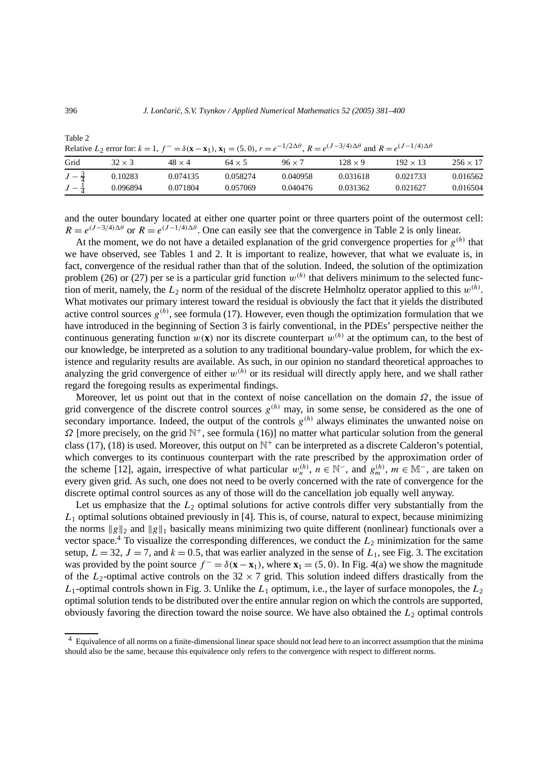|                                      | Relative $L_2$ error for: $k = 1$ , $f^{\perp} = \delta(x - x_1)$ , $x_1 = (5, 0)$ , $r = e^{-1/2\Delta t}$ , $R = e^{(3/2)/4\Delta t}$ and $R = e^{(3/2)/4\Delta t}$ |                      |                      |                      |                      |                      |                      |
|--------------------------------------|-----------------------------------------------------------------------------------------------------------------------------------------------------------------------|----------------------|----------------------|----------------------|----------------------|----------------------|----------------------|
| Grid                                 | $32 \times 3$                                                                                                                                                         | $48 \times 4$        | $64 \times 5$        | $96 \times 7$        | $128 \times 9$       | $192 \times 13$      | $256 \times 17$      |
| $J-\frac{3}{4}$<br>$J - \frac{1}{4}$ | 0.10283<br>0.096894                                                                                                                                                   | 0.074135<br>0.071804 | 0.058274<br>0.057069 | 0.040958<br>0.040476 | 0.031618<br>0.031362 | 0.021733<br>0.021627 | 0.016562<br>0.016504 |
|                                      |                                                                                                                                                                       |                      |                      |                      |                      |                      |                      |

Relative  $L_2$  error for:  $k = 1$ ,  $f^- = \delta(\mathbf{x} - \mathbf{x}_1)$ ,  $\mathbf{x}_1 = (5, 0)$ ,  $r = e^{-1/2\Delta\theta}$ ,  $R = e^{(J-3/4)\Delta\theta}$  and  $R = e^{(J-1/4)\Delta\theta}$ 

and the outer boundary located at either one quarter point or three quarters point of the outermost cell:  $R = e^{(J-3/4)\Delta\theta}$  or  $R = e^{(J-1/4)\Delta\theta}$ . One can easily see that the convergence in Table 2 is only linear.

At the moment, we do not have a detailed explanation of the grid convergence properties for  $g^{(h)}$  that we have observed, see Tables 1 and 2. It is important to realize, however, that what we evaluate is, in fact, convergence of the residual rather than that of the solution. Indeed, the solution of the optimization problem (26) or (27) per se is a particular grid function  $w^{(h)}$  that delivers minimum to the selected function of merit, namely, the  $L_2$  norm of the residual of the discrete Helmholtz operator applied to this  $w^{(h)}$ . What motivates our primary interest toward the residual is obviously the fact that it yields the distributed active control sources  $g^{(h)}$ , see formula (17). However, even though the optimization formulation that we have introduced in the beginning of Section 3 is fairly conventional, in the PDEs' perspective neither the continuous generating function  $w(\mathbf{x})$  nor its discrete counterpart  $w^{(h)}$  at the optimum can, to the best of our knowledge, be interpreted as a solution to any traditional boundary-value problem, for which the existence and regularity results are available. As such, in our opinion no standard theoretical approaches to analyzing the grid convergence of either  $w^{(h)}$  or its residual will directly apply here, and we shall rather regard the foregoing results as experimental findings.

Moreover, let us point out that in the context of noise cancellation on the domain *Ω*, the issue of grid convergence of the discrete control sources  $g^{(h)}$  may, in some sense, be considered as the one of secondary importance. Indeed, the output of the controls  $g^{(h)}$  always eliminates the unwanted noise on  $\Omega$  [more precisely, on the grid  $\mathbb{N}^+$ , see formula (16)] no matter what particular solution from the general class (17), (18) is used. Moreover, this output on  $\mathbb{N}^+$  can be interpreted as a discrete Calderon's potential, which converges to its continuous counterpart with the rate prescribed by the approximation order of the scheme [12], again, irrespective of what particular  $w_n^{(h)}$ ,  $n \in \mathbb{N}^-$ , and  $g_m^{(h)}$ ,  $m \in \mathbb{M}^-$ , are taken on every given grid. As such, one does not need to be overly concerned with the rate of convergence for the discrete optimal control sources as any of those will do the cancellation job equally well anyway.

Let us emphasize that the  $L_2$  optimal solutions for active controls differ very substantially from the *L*<sup>1</sup> optimal solutions obtained previously in [4]. This is, of course, natural to expect, because minimizing the norms  $\|g\|_2$  and  $\|g\|_1$  basically means minimizing two quite different (nonlinear) functionals over a vector space.<sup>4</sup> To visualize the corresponding differences, we conduct the  $L_2$  minimization for the same setup,  $L = 32$ ,  $J = 7$ , and  $k = 0.5$ , that was earlier analyzed in the sense of  $L_1$ , see Fig. 3. The excitation was provided by the point source  $f^- = \delta(\mathbf{x} - \mathbf{x}_1)$ , where  $\mathbf{x}_1 = (5, 0)$ . In Fig. 4(a) we show the magnitude of the  $L_2$ -optimal active controls on the 32  $\times$  7 grid. This solution indeed differs drastically from the  $L_1$ -optimal controls shown in Fig. 3. Unlike the  $L_1$  optimum, i.e., the layer of surface monopoles, the  $L_2$ optimal solution tends to be distributed over the entire annular region on which the controls are supported, obviously favoring the direction toward the noise source. We have also obtained the *L*<sup>2</sup> optimal controls

Table 2

<sup>4</sup> Equivalence of all norms on a finite-dimensional linear space should not lead here to an incorrect assumption that the minima should also be the same, because this equivalence only refers to the convergence with respect to different norms.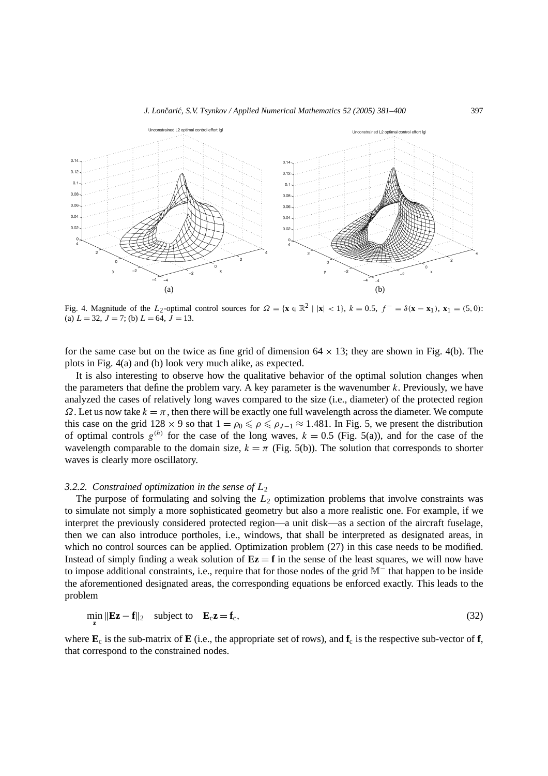

Fig. 4. Magnitude of the L<sub>2</sub>-optimal control sources for  $\Omega = {\mathbf{x} \in \mathbb{R}^2 \mid |\mathbf{x}| < 1}$ ,  $k = 0.5$ ,  $f^{-} = \delta(\mathbf{x} - \mathbf{x}_1)$ ,  $\mathbf{x}_1 = (5, 0)$ : (a)  $L = 32$ ,  $J = 7$ ; (b)  $L = 64$ ,  $J = 13$ .

for the same case but on the twice as fine grid of dimension  $64 \times 13$ ; they are shown in Fig. 4(b). The plots in Fig. 4(a) and (b) look very much alike, as expected.

It is also interesting to observe how the qualitative behavior of the optimal solution changes when the parameters that define the problem vary. A key parameter is the wavenumber *k*. Previously, we have analyzed the cases of relatively long waves compared to the size (i.e., diameter) of the protected region *Ω*. Let us now take  $k = π$ , then there will be exactly one full wavelength across the diameter. We compute this case on the grid  $128 \times 9$  so that  $1 = \rho_0 \leq \rho \leq \rho_{J-1} \approx 1.481$ . In Fig. 5, we present the distribution of optimal controls  $g^{(h)}$  for the case of the long waves,  $k = 0.5$  (Fig. 5(a)), and for the case of the wavelength comparable to the domain size,  $k = \pi$  (Fig. 5(b)). The solution that corresponds to shorter waves is clearly more oscillatory.

#### *3.2.2. Constrained optimization in the sense of L*<sup>2</sup>

The purpose of formulating and solving the  $L_2$  optimization problems that involve constraints was to simulate not simply a more sophisticated geometry but also a more realistic one. For example, if we interpret the previously considered protected region—a unit disk—as a section of the aircraft fuselage, then we can also introduce portholes, i.e., windows, that shall be interpreted as designated areas, in which no control sources can be applied. Optimization problem  $(27)$  in this case needs to be modified. Instead of simply finding a weak solution of  $Ez = f$  in the sense of the least squares, we will now have to impose additional constraints, i.e., require that for those nodes of the grid M<sup>−</sup> that happen to be inside the aforementioned designated areas, the corresponding equations be enforced exactly. This leads to the problem

$$
\min_{\mathbf{z}} \|\mathbf{E}\mathbf{z} - \mathbf{f}\|_2 \quad \text{subject to} \quad \mathbf{E}_c \mathbf{z} = \mathbf{f}_c,\tag{32}
$$

where  $\mathbf{E}_c$  is the sub-matrix of  $\mathbf{E}$  (i.e., the appropriate set of rows), and  $\mathbf{f}_c$  is the respective sub-vector of  $\mathbf{f}$ , that correspond to the constrained nodes.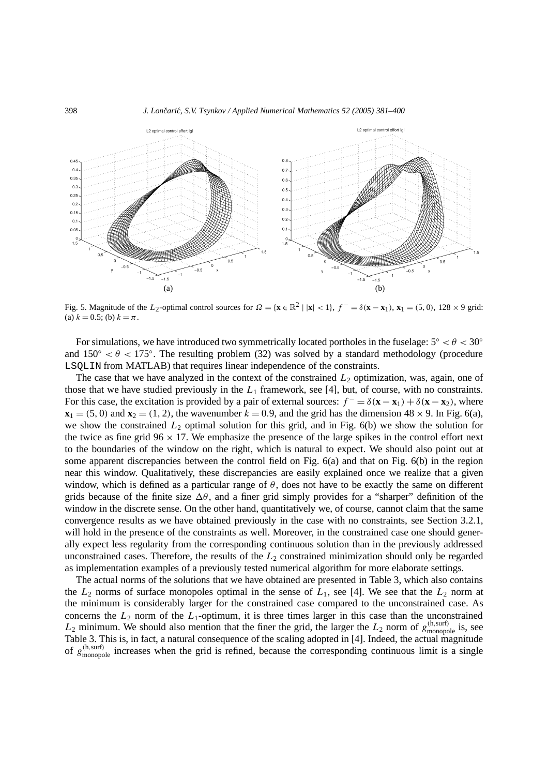

Fig. 5. Magnitude of the *L*<sub>2</sub>-optimal control sources for  $\Omega = {\mathbf{x} \in \mathbb{R}^2 \mid |\mathbf{x}| < 1}, f^- = \delta(\mathbf{x} - \mathbf{x}_1), \mathbf{x}_1 = (5, 0), 128 \times 9$  grid: (a)  $k = 0.5$ ; (b)  $k = \pi$ .

For simulations, we have introduced two symmetrically located portholes in the fuselage: 5◦ *<θ<* 30◦ and  $150° < \theta < 175°$ . The resulting problem (32) was solved by a standard methodology (procedure LSQLIN from MATLAB) that requires linear independence of the constraints.

The case that we have analyzed in the context of the constrained  $L_2$  optimization, was, again, one of those that we have studied previously in the  $L_1$  framework, see [4], but, of course, with no constraints. For this case, the excitation is provided by a pair of external sources:  $f^- = \delta(\mathbf{x} - \mathbf{x}_1) + \delta(\mathbf{x} - \mathbf{x}_2)$ , where  $\mathbf{x}_1 = (5, 0)$  and  $\mathbf{x}_2 = (1, 2)$ , the wavenumber  $k = 0.9$ , and the grid has the dimension  $48 \times 9$ . In Fig. 6(a), we show the constrained  $L_2$  optimal solution for this grid, and in Fig. 6(b) we show the solution for the twice as fine grid  $96 \times 17$ . We emphasize the presence of the large spikes in the control effort next to the boundaries of the window on the right, which is natural to expect. We should also point out at some apparent discrepancies between the control field on Fig. 6(a) and that on Fig. 6(b) in the region near this window. Qualitatively, these discrepancies are easily explained once we realize that a given window, which is defined as a particular range of  $\theta$ , does not have to be exactly the same on different grids because of the finite size  $\Delta\theta$ , and a finer grid simply provides for a "sharper" definition of the window in the discrete sense. On the other hand, quantitatively we, of course, cannot claim that the same convergence results as we have obtained previously in the case with no constraints, see Section 3.2.1, will hold in the presence of the constraints as well. Moreover, in the constrained case one should generally expect less regularity from the corresponding continuous solution than in the previously addressed unconstrained cases. Therefore, the results of the  $L<sub>2</sub>$  constrained minimization should only be regarded as implementation examples of a previously tested numerical algorithm for more elaborate settings.

The actual norms of the solutions that we have obtained are presented in Table 3, which also contains the  $L_2$  norms of surface monopoles optimal in the sense of  $L_1$ , see [4]. We see that the  $L_2$  norm at the minimum is considerably larger for the constrained case compared to the unconstrained case. As concerns the  $L_2$  norm of the  $L_1$ -optimum, it is three times larger in this case than the unconstrained  $L_2$  minimum. We should also mention that the finer the grid, the larger the  $L_2$  norm of  $g_{\text{monopole}}^{(h,\text{surf})}$  is, see Table 3. This is, in fact, a natural consequence of the scaling adopted in [4]. Indeed, the actual magnitude of  $g_{\text{monopole}}^{(h,surf)}$  increases when the grid is refined, because the corresponding continuous limit is a single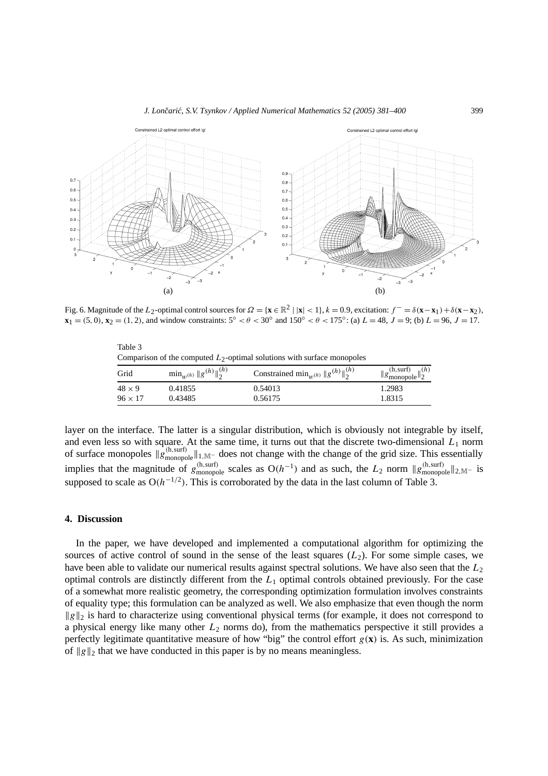

Fig. 6. Magnitude of the L<sub>2</sub>-optimal control sources for  $\Omega = {\mathbf{x} \in \mathbb{R}^2 | \mathbf{x} | < 1}$ ,  $k = 0.9$ , excitation:  $f^{-} = \delta(\mathbf{x} - \mathbf{x}_1) + \delta(\mathbf{x} - \mathbf{x}_2)$ ,  $\mathbf{x}_1 = (5, 0), \mathbf{x}_2 = (1, 2),$  and window constraints:  $5^\circ < \theta < 30^\circ$  and  $150^\circ < \theta < 175^\circ$ : (a)  $L = 48, J = 9$ ; (b)  $L = 96, J = 17$ .

| Comparison of the computed $L_2$ -optimal solutions with surface monopoles |                                        |                                                              |                                                     |  |  |  |  |
|----------------------------------------------------------------------------|----------------------------------------|--------------------------------------------------------------|-----------------------------------------------------|--|--|--|--|
| Grid                                                                       | $\min_{u \in (h)} \ g^{(h)}\ _2^{(h)}$ | Constrained min <sub><i>w</i>(h)</sub> $  g^{(h)}  _2^{(h)}$ | $  g_{\text{monopole}}^{(h,\text{surf})}  _2^{(h)}$ |  |  |  |  |
| $48 \times 9$                                                              | 0.41855                                | 0.54013                                                      | 1.2983                                              |  |  |  |  |
| $96 \times 17$                                                             | 0.43485                                | 0.56175                                                      | 1.8315                                              |  |  |  |  |

layer on the interface. The latter is a singular distribution, which is obviously not integrable by itself, and even less so with square. At the same time, it turns out that the discrete two-dimensional  $L_1$  norm of surface monopoles  $\|\hat{g}_{\text{monopole}}^{(h,\text{surf})}\|_{1,\mathbb{M}^-}$  does not change with the change of the grid size. This essentially implies that the magnitude of  $g_{\text{monopole}}^{(h,\text{surf})}$  scales as  $O(h^{-1})$  and as such, the  $L_2$  norm  $||g_{\text{monopole}}^{(h,\text{surf})}||_{2,\mathbb{M}^{-}}$  is supposed to scale as  $O(h^{-1/2})$ . This is corroborated by the data in the last column of Table 3.

# **4. Discussion**

Table 3

In the paper, we have developed and implemented a computational algorithm for optimizing the sources of active control of sound in the sense of the least squares  $(L_2)$ . For some simple cases, we have been able to validate our numerical results against spectral solutions. We have also seen that the *L*<sup>2</sup> optimal controls are distinctly different from the *L*<sup>1</sup> optimal controls obtained previously. For the case of a somewhat more realistic geometry, the corresponding optimization formulation involves constraints of equality type; this formulation can be analyzed as well. We also emphasize that even though the norm  $\|g\|_2$  is hard to characterize using conventional physical terms (for example, it does not correspond to a physical energy like many other *L*<sup>2</sup> norms do), from the mathematics perspective it still provides a perfectly legitimate quantitative measure of how "big" the control effort  $g(\mathbf{x})$  is. As such, minimization of  $\|g\|_2$  that we have conducted in this paper is by no means meaningless.